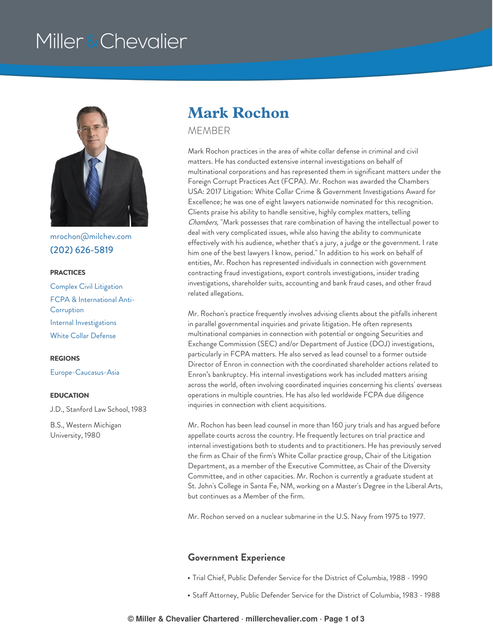# Miller & Chevalier



[mrochon@milchev.com](mailto:mrochon@milchev.com) (202) [626-5819](tel:202-626-5819)

#### **PRACTICES**

Complex Civil [Litigation](https://www.millerchevalier.com/practice-area/complex-civil-litigation) FCPA & [International](https://www.millerchevalier.com/practice-area/fcpa-international-anti-corruption) Anti-**Corruption** Internal [Investigations](https://www.millerchevalier.com/practice-area/internal-investigations) White Collar [Defense](https://www.millerchevalier.com/practice-area/white-collar-defense)

### **REGIONS**

[Europe-Caucasus-Asia](https://www.millerchevalier.com/region/europe-caucasus-asia)

#### **EDUCATION**

J.D., Stanford Law School, 1983

B.S., Western Michigan University, 1980

# **Mark Rochon**

**MEMBER** 

Mark Rochon practices in the area of white collar defense in criminal and civil matters. He has conducted extensive internal investigations on behalf of multinational corporations and has represented them in significant matters under the Foreign Corrupt Practices Act (FCPA). Mr. Rochon was awarded the Chambers USA: 2017 Litigation: White Collar Crime & Government Investigations Award for Excellence; he was one of eight lawyers nationwide nominated for this recognition. Clients praise his ability to handle sensitive, highly complex matters, telling *Chambers,* "Mark possesses that rare combination of having the intellectual power to deal with very complicated issues, while also having the ability to communicate effectively with his audience, whether that's a jury, a judge or the government. I rate him one of the best lawyers I know, period." In addition to his work on behalf of entities, Mr. Rochon has represented individuals in connection with government contracting fraud investigations, export controls investigations, insider trading investigations, shareholder suits, accounting and bank fraud cases, and other fraud related allegations.

Mr. Rochon's practice frequently involves advising clients about the pitfalls inherent in parallel governmental inquiries and private litigation. He often represents multinational companies in connection with potential or ongoing Securities and Exchange Commission (SEC) and/or Department of Justice (DOJ) investigations, particularly in FCPA matters. He also served as lead counsel to a former outside Director of Enron in connection with the coordinated shareholder actions related to Enron's bankruptcy. His internal investigations work has included matters arising across the world, often involving coordinated inquiries concerning his clients' overseas operations in multiple countries. He has also led worldwide FCPA due diligence inquiries in connection with client acquisitions.

Mr. Rochon has been lead counsel in more than 160 jury trials and has argued before appellate courts across the country. He frequently lectures on trial practice and internal investigations both to students and to practitioners. He has previously served the firm as Chair of the firm's White Collar practice group, Chair of the Litigation Department, as a member of the Executive Committee, as Chair of the Diversity Committee, and in other capacities. Mr. Rochon is currently a graduate student at St. John's College in Santa Fe, NM, working on a Master's Degree in the Liberal Arts, but continues as a Member of the firm.

Mr. Rochon served on a nuclear submarine in the U.S. Navy from 1975 to 1977.

### **Government Experience**

- Trial Chief, Public Defender Service for the District of Columbia, 1988 1990
- Staff Attorney, Public Defender Service for the District of Columbia, 1983 1988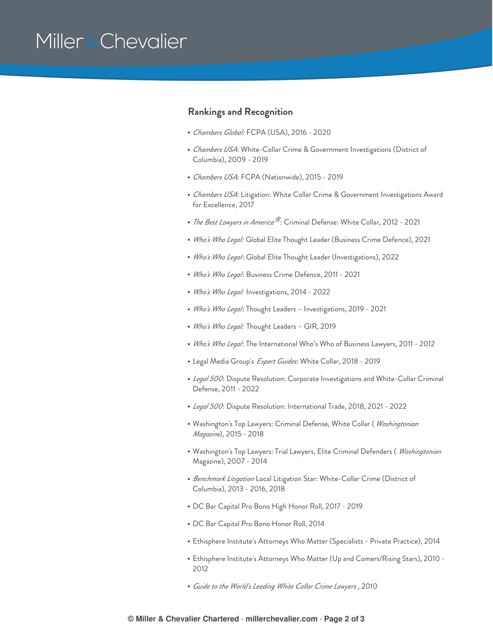# Miller & Chevalier

### **Rankings and Recognition**

- *Chambers Global:* FCPA (USA), 2016 2020
- *Chambers USA*: White-Collar Crime & Government Investigations (District of Columbia), 2009 - 2019
- *Chambers USA*: FCPA (Nationwide), 2015 2019
- *Chambers USA*: Litigation: White Collar Crime & Government Investigations Award for Excellence, 2017
- *The Best Lawyers in America®*: Criminal Defense: White Collar, 2012 2021
- *Who's Who Legal:* Global Elite Thought Leader (Business Crime Defence), 2021
- *Who's Who Legal*: Global Elite Thought Leader (Investigations), 2022
- *Who's Who Legal*: Business Crime Defence, 2011 2021
- *Who's Who Legal:* Investigations, 2014 2022
- *Who's Who Legal*: Thought Leaders Investigations, 2019 2021
- *Who's Who Legal:* Thought Leaders GIR, 2019
- *Who's Who Legal*: The International Who's Who of Business Lawyers, 2011 2012
- Legal Media Group's *Expert Guides*: White Collar, 2018 2019
- *Legal 500*: Dispute Resolution: Corporate Investigations and White-Collar Criminal Defense, 2011 - 2022
- *Legal 500*: Dispute Resolution: International Trade, 2018, 2021 2022
- Washington's Top Lawyers: Criminal Defense, White Collar ( *Washingtonian Magazine*), 2015 - 2018
- Washington's Top Lawyers: Trial Lawyers, Elite Criminal Defenders ( *Washingtonian* Magazine), 2007 - 2014
- *Benchmark Litigation* Local Litigation Star: White-Collar Crime (District of Columbia), 2013 - 2016, 2018
- DC Bar Capital Pro Bono High Honor Roll, 2017 2019
- DC Bar Capital Pro Bono Honor Roll, 2014
- Ethisphere Institute's Attorneys Who Matter (Specialists Private Practice), 2014
- Ethisphere Institute's Attorneys Who Matter (Up and Comers/Rising Stars), 2010 2012
- *Guide to the World's Leading White Collar Crime Lawyers* , 2010